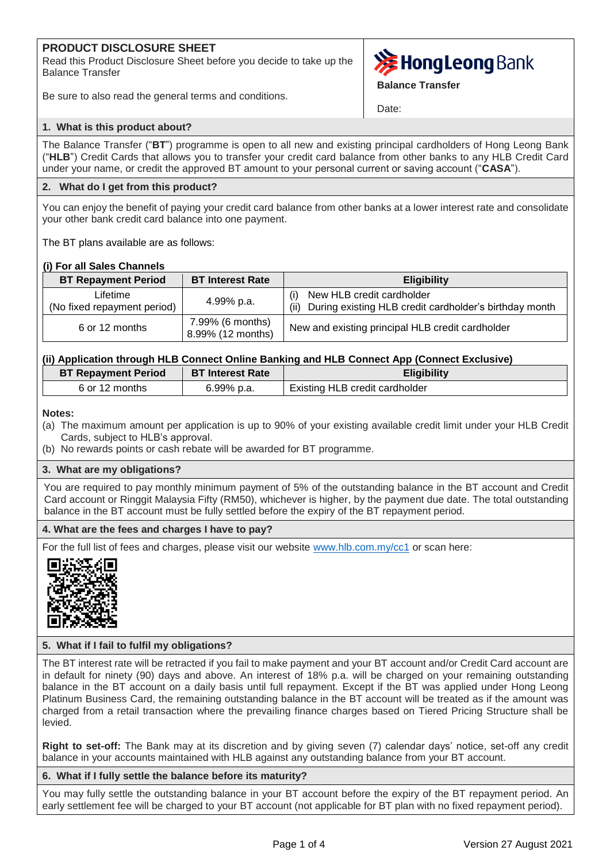# **PRODUCT DISCLOSURE SHEET**

Read this Product Disclosure Sheet before you decide to take up the Balance Transfer



Be sure to also read the general terms and conditions.

Date:

**Balance Transfer**

### **1. What is this product about?**

The Balance Transfer ("**BT**") programme is open to all new and existing principal cardholders of Hong Leong Bank ("**HLB**") Credit Cards that allows you to transfer your credit card balance from other banks to any HLB Credit Card under your name, or credit the approved BT amount to your personal current or saving account ("**CASA**").

### **2. What do I get from this product?**

You can enjoy the benefit of paying your credit card balance from other banks at a lower interest rate and consolidate your other bank credit card balance into one payment.

The BT plans available are as follows:

## **(i) For all Sales Channels**

| <b>BT Repayment Period</b>              | <b>BT Interest Rate</b>               | <b>Eligibility</b>                                                                                 |  |  |
|-----------------------------------------|---------------------------------------|----------------------------------------------------------------------------------------------------|--|--|
| Lifetime<br>(No fixed repayment period) | 4.99% p.a.                            | New HLB credit cardholder<br>(i)<br>During existing HLB credit cardholder's birthday month<br>(ii) |  |  |
| 6 or 12 months                          | 7.99% (6 months)<br>8.99% (12 months) | New and existing principal HLB credit cardholder                                                   |  |  |

# **(ii) Application through HLB Connect Online Banking and HLB Connect App (Connect Exclusive)**

| <b>BT Repayment Period</b> | <b>BT Interest Rate</b> | <b>Eligibility</b>                    |
|----------------------------|-------------------------|---------------------------------------|
| 6 or 12 months             | 6.99% p.a.              | <b>Existing HLB credit cardholder</b> |

**Notes:**

- (a) The maximum amount per application is up to 90% of your existing available credit limit under your HLB Credit Cards, subject to HLB's approval.
- (b) No rewards points or cash rebate will be awarded for BT programme.

## **3. What are my obligations?**

You are required to pay monthly minimum payment of 5% of the outstanding balance in the BT account and Credit Card account or Ringgit Malaysia Fifty (RM50), whichever is higher, by the payment due date. The total outstanding balance in the BT account must be fully settled before the expiry of the BT repayment period.

## **4. What are the fees and charges I have to pay?**

For the full list of fees and charges, please visit our website [www.hlb.com.my/cc1](https://www.hlb.com.my/en/personal-banking/help-support/fees-and-charges/credit-cards.html) or scan here:



## **5. What if I fail to fulfil my obligations?**

The BT interest rate will be retracted if you fail to make payment and your BT account and/or Credit Card account are in default for ninety (90) days and above. An interest of 18% p.a. will be charged on your remaining outstanding balance in the BT account on a daily basis until full repayment. Except if the BT was applied under Hong Leong Platinum Business Card, the remaining outstanding balance in the BT account will be treated as if the amount was charged from a retail transaction where the prevailing finance charges based on Tiered Pricing Structure shall be levied.

**Right to set-off:** The Bank may at its discretion and by giving seven (7) calendar days' notice, set-off any credit balance in your accounts maintained with HLB against any outstanding balance from your BT account.

## **6. What if I fully settle the balance before its maturity?**

You may fully settle the outstanding balance in your BT account before the expiry of the BT repayment period. An early settlement fee will be charged to your BT account (not applicable for BT plan with no fixed repayment period).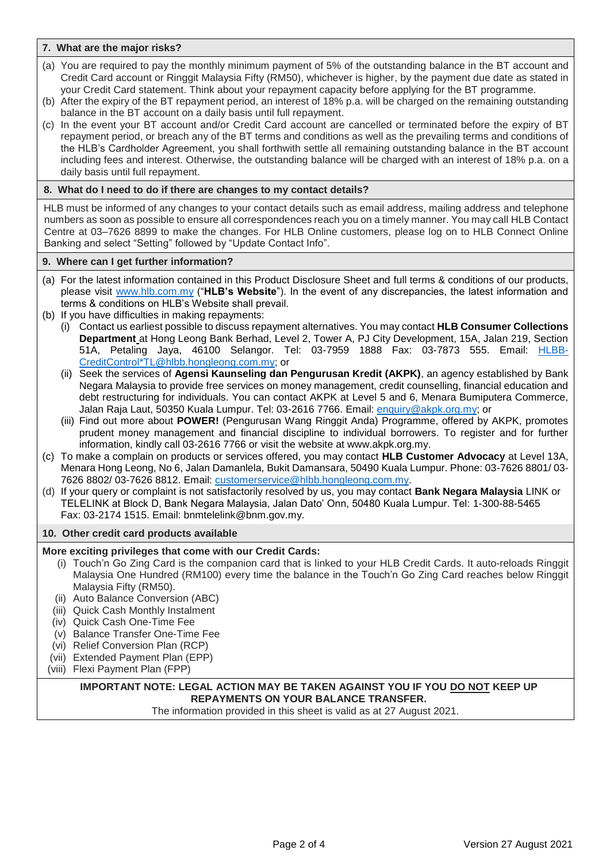### **7. What are the major risks?**

- (a) You are required to pay the monthly minimum payment of 5% of the outstanding balance in the BT account and Credit Card account or Ringgit Malaysia Fifty (RM50), whichever is higher, by the payment due date as stated in your Credit Card statement. Think about your repayment capacity before applying for the BT programme.
- (b) After the expiry of the BT repayment period, an interest of 18% p.a. will be charged on the remaining outstanding balance in the BT account on a daily basis until full repayment.
- (c) In the event your BT account and/or Credit Card account are cancelled or terminated before the expiry of BT repayment period, or breach any of the BT terms and conditions as well as the prevailing terms and conditions of the HLB's Cardholder Agreement, you shall forthwith settle all remaining outstanding balance in the BT account including fees and interest. Otherwise, the outstanding balance will be charged with an interest of 18% p.a. on a daily basis until full repayment.

### **8. What do I need to do if there are changes to my contact details?**

HLB must be informed of any changes to your contact details such as email address, mailing address and telephone numbers as soon as possible to ensure all correspondences reach you on a timely manner. You may call HLB Contact Centre at 03–7626 8899 to make the changes. For HLB Online customers, please log on to HLB Connect Online Banking and select "Setting" followed by "Update Contact Info".

### **9. Where can I get further information?**

- (a) For the latest information contained in this Product Disclosure Sheet and full terms & conditions of our products, please visit [www.hlb.com.my](http://www.hlb.com.my/) ("**HLB's Website**"). In the event of any discrepancies, the latest information and terms & conditions on HLB's Website shall prevail.
- (b) If you have difficulties in making repayments:
	- (i) Contact us earliest possible to discuss repayment alternatives. You may contact **HLB Consumer Collections Department** at Hong Leong Bank Berhad, Level 2, Tower A, PJ City Development, 15A, Jalan 219, Section 51A, Petaling Jaya, 46100 Selangor. Tel: 03-7959 1888 Fax: 03-7873 555. Email: [HLBB-](mailto:HLBB-CreditControl*TL@hlbb.hongleong.com.my)[CreditControl\\*TL@hlbb.hongleong.com.my;](mailto:HLBB-CreditControl*TL@hlbb.hongleong.com.my) or
	- (ii) Seek the services of **Agensi Kaunseling dan Pengurusan Kredit (AKPK)**, an agency established by Bank Negara Malaysia to provide free services on money management, credit counselling, financial education and debt restructuring for individuals. You can contact AKPK at Level 5 and 6, Menara Bumiputera Commerce, Jalan Raja Laut, 50350 Kuala Lumpur. Tel: 03-2616 7766. Email: [enquiry@akpk.org.my;](mailto:enquiry@akpk.org.my) or
	- (iii) Find out more about **POWER!** (Pengurusan Wang Ringgit Anda) Programme, offered by AKPK, promotes prudent money management and financial discipline to individual borrowers. To register and for further information, kindly call 03-2616 7766 or visit the website at www.akpk.org.my.
- (c) To make a complain on products or services offered, you may contact **HLB Customer Advocacy** at Level 13A, Menara Hong Leong, No 6, Jalan Damanlela, Bukit Damansara, 50490 Kuala Lumpur. Phone: 03-7626 8801/ 03- 7626 8802/ 03-7626 8812. Email: [customerservice@hlbb.hongleong.com.my.](mailto:customerservice@hlbb.hongleong.com.my)
- (d) If your query or complaint is not satisfactorily resolved by us, you may contact **Bank Negara Malaysia** LINK or TELELINK at Block D, Bank Negara Malaysia, Jalan Dato' Onn, 50480 Kuala Lumpur. Tel: 1-300-88-5465 Fax: 03-2174 1515. Email: bnmtelelink@bnm.gov.my.

### **10. Other credit card products available**

### **More exciting privileges that come with our Credit Cards:**

- (i) Touch'n Go Zing Card is the companion card that is linked to your HLB Credit Cards. It auto-reloads Ringgit Malaysia One Hundred (RM100) every time the balance in the Touch'n Go Zing Card reaches below Ringgit Malaysia Fifty (RM50).
- (ii) Auto Balance Conversion (ABC)
- (iii) Quick Cash Monthly Instalment
- (iv) Quick Cash One-Time Fee
- (v) Balance Transfer One-Time Fee
- (vi) Relief Conversion Plan (RCP)
- (vii) Extended Payment Plan (EPP)
- (viii) Flexi Payment Plan (FPP)

# **IMPORTANT NOTE: LEGAL ACTION MAY BE TAKEN AGAINST YOU IF YOU DO NOT KEEP UP REPAYMENTS ON YOUR BALANCE TRANSFER.**

The information provided in this sheet is valid as at 27 August 2021.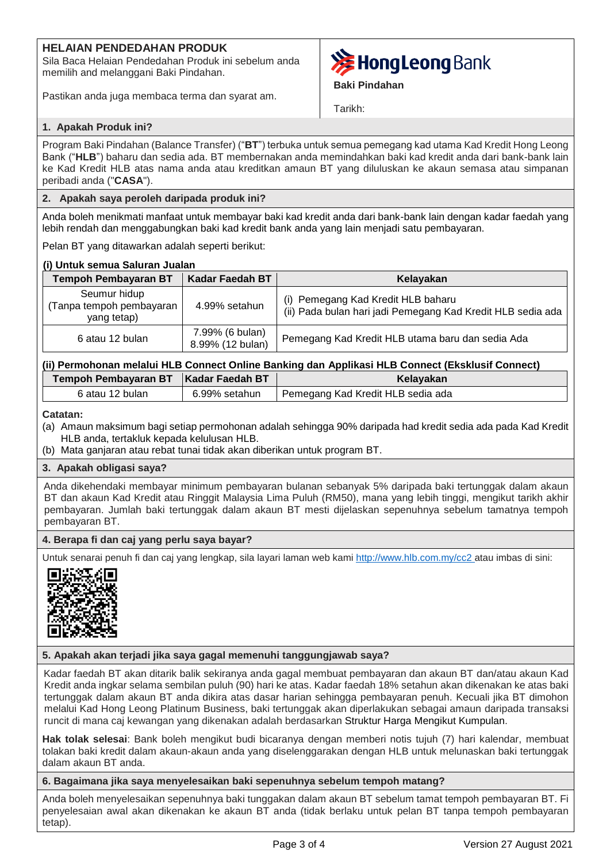# **HELAIAN PENDEDAHAN PRODUK**

Sila Baca Helaian Pendedahan Produk ini sebelum anda memilih and melanggani Baki Pindahan.

Pastikan anda juga membaca terma dan syarat am.



**Baki Pindahan**

Tarikh:

## **1. Apakah Produk ini?**

Program Baki Pindahan (Balance Transfer) ("**BT**") terbuka untuk semua pemegang kad utama Kad Kredit Hong Leong Bank ("**HLB**") baharu dan sedia ada. BT membernakan anda memindahkan baki kad kredit anda dari bank-bank lain ke Kad Kredit HLB atas nama anda atau kreditkan amaun BT yang diluluskan ke akaun semasa atau simpanan peribadi anda ("**CASA**").

## **2. Apakah saya peroleh daripada produk ini?**

Anda boleh menikmati manfaat untuk membayar baki kad kredit anda dari bank-bank lain dengan kadar faedah yang lebih rendah dan menggabungkan baki kad kredit bank anda yang lain menjadi satu pembayaran.

Pelan BT yang ditawarkan adalah seperti berikut:

## **(i) Untuk semua Saluran Jualan**

| <b>Tempoh Pembayaran BT</b>                             | <b>Kadar Faedah BT</b>              | Kelayakan                                                                                         |  |  |
|---------------------------------------------------------|-------------------------------------|---------------------------------------------------------------------------------------------------|--|--|
| Seumur hidup<br>(Tanpa tempoh pembayaran<br>yang tetap) | 4.99% setahun                       | (i) Pemegang Kad Kredit HLB baharu<br>(ii) Pada bulan hari jadi Pemegang Kad Kredit HLB sedia ada |  |  |
| 6 atau 12 bulan                                         | 7.99% (6 bulan)<br>8.99% (12 bulan) | Pemegang Kad Kredit HLB utama baru dan sedia Ada                                                  |  |  |

| (ii) Permohonan melalui HLB Connect Online Banking dan Applikasi HLB Connect (Eksklusif Connect) |               |                                   |  |  |
|--------------------------------------------------------------------------------------------------|---------------|-----------------------------------|--|--|
| Tempoh Pembayaran BT   Kadar Faedah BT                                                           |               | Kelayakan                         |  |  |
| 6 atau 12 bulan                                                                                  | 6.99% setahun | Pemegang Kad Kredit HLB sedia ada |  |  |

**Catatan:**

- (a) Amaun maksimum bagi setiap permohonan adalah sehingga 90% daripada had kredit sedia ada pada Kad Kredit HLB anda, tertakluk kepada kelulusan HLB.
- (b) Mata ganjaran atau rebat tunai tidak akan diberikan untuk program BT.

## **3. Apakah obligasi saya?**

Anda dikehendaki membayar minimum pembayaran bulanan sebanyak 5% daripada baki tertunggak dalam akaun BT dan akaun Kad Kredit atau Ringgit Malaysia Lima Puluh (RM50), mana yang lebih tinggi, mengikut tarikh akhir pembayaran. Jumlah baki tertunggak dalam akaun BT mesti dijelaskan sepenuhnya sebelum tamatnya tempoh pembayaran BT.

## **4. Berapa fi dan caj yang perlu saya bayar?**

Untuk senarai penuh fi dan caj yang lengkap, sila layari laman web kami [http://www.hlb.com.my/cc2](https://www.hlb.com.my/ms/personal-banking/help-support/fees-and-charges.html?icp=hlb-bm-all-footer-txt-feecharges) atau imbas di sini:



## **5. Apakah akan terjadi jika saya gagal memenuhi tanggungjawab saya?**

Kadar faedah BT akan ditarik balik sekiranya anda gagal membuat pembayaran dan akaun BT dan/atau akaun Kad Kredit anda ingkar selama sembilan puluh (90) hari ke atas. Kadar faedah 18% setahun akan dikenakan ke atas baki tertunggak dalam akaun BT anda dikira atas dasar harian sehingga pembayaran penuh. Kecuali jika BT dimohon melalui Kad Hong Leong Platinum Business, baki tertunggak akan diperlakukan sebagai amaun daripada transaksi runcit di mana caj kewangan yang dikenakan adalah berdasarkan Struktur Harga Mengikut Kumpulan.

**Hak tolak selesai**: Bank boleh mengikut budi bicaranya dengan memberi notis tujuh (7) hari kalendar, membuat tolakan baki kredit dalam akaun-akaun anda yang diselenggarakan dengan HLB untuk melunaskan baki tertunggak dalam akaun BT anda.

**6. Bagaimana jika saya menyelesaikan baki sepenuhnya sebelum tempoh matang?**

Anda boleh menyelesaikan sepenuhnya baki tunggakan dalam akaun BT sebelum tamat tempoh pembayaran BT. Fi penyelesaian awal akan dikenakan ke akaun BT anda (tidak berlaku untuk pelan BT tanpa tempoh pembayaran tetap).